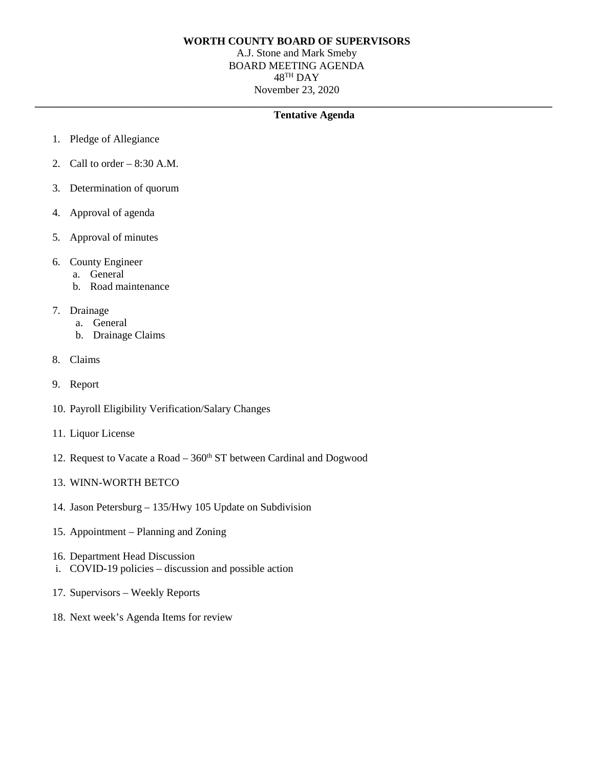## **WORTH COUNTY BOARD OF SUPERVISORS**

A.J. Stone and Mark Smeby BOARD MEETING AGENDA 48TH DAY November 23, 2020

## **\_\_\_\_\_\_\_\_\_\_\_\_\_\_\_\_\_\_\_\_\_\_\_\_\_\_\_\_\_\_\_\_\_\_\_\_\_\_\_\_\_\_\_\_\_\_\_\_\_\_\_\_\_\_\_\_\_\_\_\_\_\_\_\_\_\_\_\_\_\_\_\_\_\_\_\_\_\_\_\_\_\_\_\_\_\_\_\_\_\_\_\_\_\_\_\_\_ Tentative Agenda**

- 1. Pledge of Allegiance
- 2. Call to order 8:30 A.M.
- 3. Determination of quorum
- 4. Approval of agenda
- 5. Approval of minutes
- 6. County Engineer
	- a. General
	- b. Road maintenance
- 7. Drainage
	- a. General
	- b. Drainage Claims
- 8. Claims
- 9. Report
- 10. Payroll Eligibility Verification/Salary Changes
- 11. Liquor License
- 12. Request to Vacate a Road  $-360<sup>th</sup>$  ST between Cardinal and Dogwood
- 13. WINN-WORTH BETCO
- 14. Jason Petersburg 135/Hwy 105 Update on Subdivision
- 15. Appointment Planning and Zoning
- 16. Department Head Discussion
- i. COVID-19 policies discussion and possible action
- 17. Supervisors Weekly Reports
- 18. Next week's Agenda Items for review